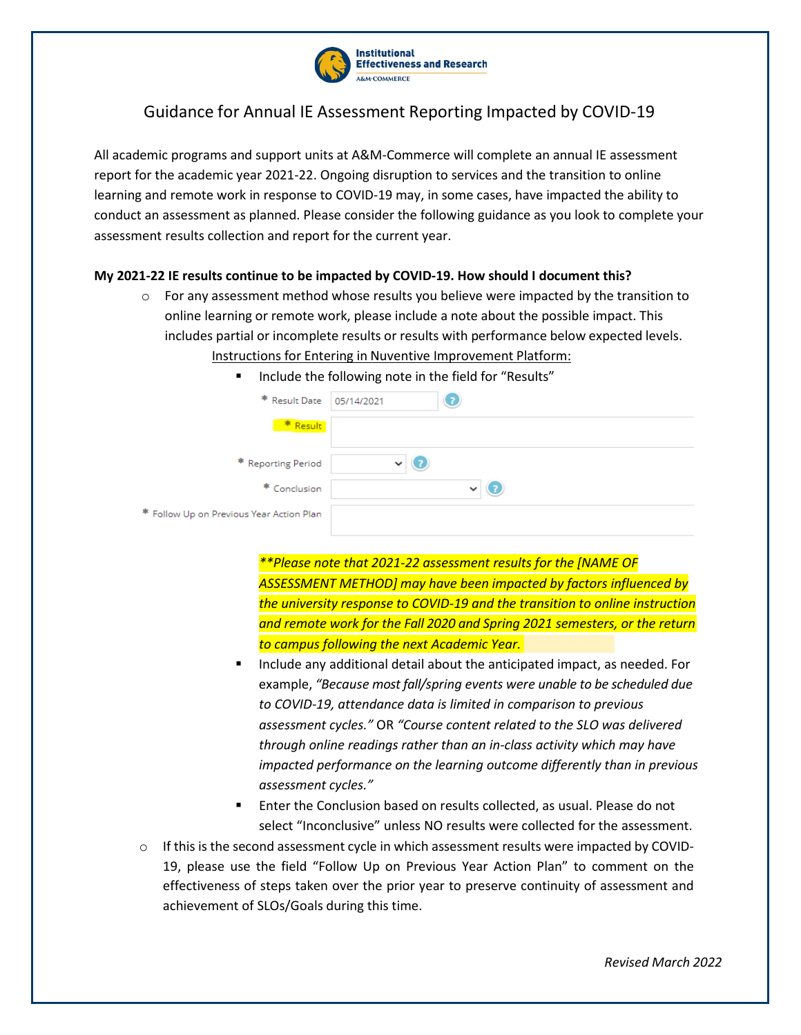

## Guidance for Annual IE Assessment Reporting Impacted by COVID-19

All academic programs and support units at A&M-Commerce will complete an annual IE assessment report for the academic year 2021-22. Ongoing disruption to services and the transition to online learning and remote work in response to COVID-19 may, in some cases, have impacted the ability to conduct an assessment as planned. Please consider the following guidance as you look to complete your assessment results collection and report for the current year.

## **My 2021-22 IE results continue to be impacted by COVID-19. How should I document this?**

 $\circ$  For any assessment method whose results you believe were impacted by the transition to online learning or remote work, please include a note about the possible impact. This includes partial or incomplete results or results with performance below expected levels.

## Instructions for Entering in Nuventive Improvement Platform:

| Include the following note in the field for "Results"<br>٠ |              |
|------------------------------------------------------------|--------------|
| * Result Date                                              | 05/14/2021   |
| * Result                                                   |              |
| * Reporting Period                                         | $\checkmark$ |
| * Conclusion                                               | $\checkmark$ |
| * Follow Up on Previous Year Action Plan                   |              |

*\*\*Please note that 2021-22 assessment results for the [NAME OF ASSESSMENT METHOD] may have been impacted by factors influenced by the university response to COVID-19 and the transition to online instruction and remote work for the Fall 2020 and Spring 2021 semesters, or the return to campus following the next Academic Year.*

- Include any additional detail about the anticipated impact, as needed. For example, *"Because most fall/spring events were unable to be scheduled due to COVID-19, attendance data is limited in comparison to previous assessment cycles."* OR *"Course content related to the SLO was delivered through online readings rather than an in-class activity which may have impacted performance on the learning outcome differently than in previous assessment cycles."*
- Enter the Conclusion based on results collected, as usual. Please do not select "Inconclusive" unless NO results were collected for the assessment.
- $\circ$  If this is the second assessment cycle in which assessment results were impacted by COVID-19, please use the field "Follow Up on Previous Year Action Plan" to comment on the effectiveness of steps taken over the prior year to preserve continuity of assessment and achievement of SLOs/Goals during this time.

*Revised March 2022*